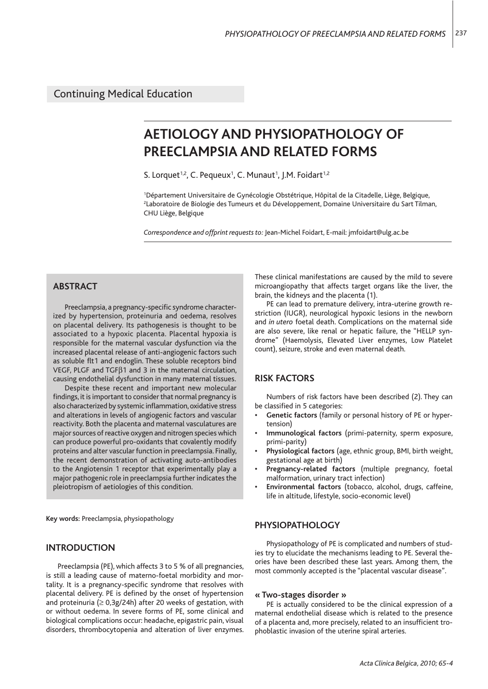# **AETIOLOGY AND PHYSIOPATHOLOGY OF PREECLAMPSIA AND RELATED FORMS**

S. Lorquet<sup>1,2</sup>, C. Pequeux<sup>1</sup>, C. Munaut<sup>1</sup>, J.M. Foidart<sup>1,2</sup>

1 Département Universitaire de Gynécologie Obstétrique, Hôpital de la Citadelle, Liège, Belgique, 2 Laboratoire de Biologie des Tumeurs et du Développement, Domaine Universitaire du Sart Tilman, CHU Liège, Belgique

*Correspondence and offprint requests to:* Jean-Michel Foidart, E-mail: jmfoidart@ulg.ac.be

# **ABSTRACT**

Preeclampsia, a pregnancy-specific syndrome characterized by hypertension, proteinuria and oedema, resolves on placental delivery. Its pathogenesis is thought to be associated to a hypoxic placenta. Placental hypoxia is responsible for the maternal vascular dysfunction via the increased placental release of anti-angiogenic factors such as soluble flt1 and endoglin. These soluble receptors bind VEGF, PLGF and TGFβ1 and 3 in the maternal circulation, causing endothelial dysfunction in many maternal tissues.

Despite these recent and important new molecular findings, it is important to consider that normal pregnancy is also characterized by systemic inflammation, oxidative stress and alterations in levels of angiogenic factors and vascular reactivity. Both the placenta and maternal vasculatures are major sources of reactive oxygen and nitrogen species which can produce powerful pro-oxidants that covalently modify proteins and alter vascular function in preeclampsia. Finally, the recent demonstration of activating auto-antibodies to the Angiotensin 1 receptor that experimentally play a major pathogenic role in preeclampsia further indicates the pleiotropism of aetiologies of this condition.

**Key words:** Preeclampsia, physiopathology

## **INTRODUCTION**

Preeclampsia (PE), which affects 3 to 5 % of all pregnancies, is still a leading cause of materno-foetal morbidity and mortality. It is a pregnancy-specific syndrome that resolves with placental delivery. PE is defined by the onset of hypertension and proteinuria  $(≥ 0,3g/24h)$  after 20 weeks of gestation, with or without oedema. In severe forms of PE, some clinical and biological complications occur: headache, epigastric pain, visual disorders, thrombocytopenia and alteration of liver enzymes. These clinical manifestations are caused by the mild to severe microangiopathy that affects target organs like the liver, the brain, the kidneys and the placenta (1).

PE can lead to premature delivery, intra-uterine growth restriction (IUGR), neurological hypoxic lesions in the newborn and *in utero* foetal death. Complications on the maternal side are also severe, like renal or hepatic failure, the "HELLP syndrome" (Haemolysis, Elevated Liver enzymes, Low Platelet count), seizure, stroke and even maternal death.

## **RISK FACTORS**

Numbers of risk factors have been described (2). They can be classified in 5 categories:

- **Genetic factors** (family or personal history of PE or hypertension)
- **Immunological factors** (primi-paternity, sperm exposure, primi-parity)
- **Physiological factors** (age, ethnic group, BMI, birth weight, gestational age at birth)
- **Pregnancy-related factors** (multiple pregnancy, foetal malformation, urinary tract infection)
- **Environmental factors** (tobacco, alcohol, drugs, caffeine, life in altitude, lifestyle, socio-economic level)

## **PHYSIOPATHOLOGY**

Physiopathology of PE is complicated and numbers of studies try to elucidate the mechanisms leading to PE. Several theories have been described these last years. Among them, the most commonly accepted is the "placental vascular disease".

#### **« Two-stages disorder »**

PE is actually considered to be the clinical expression of a maternal endothelial disease which is related to the presence of a placenta and, more precisely, related to an insufficient trophoblastic invasion of the uterine spiral arteries.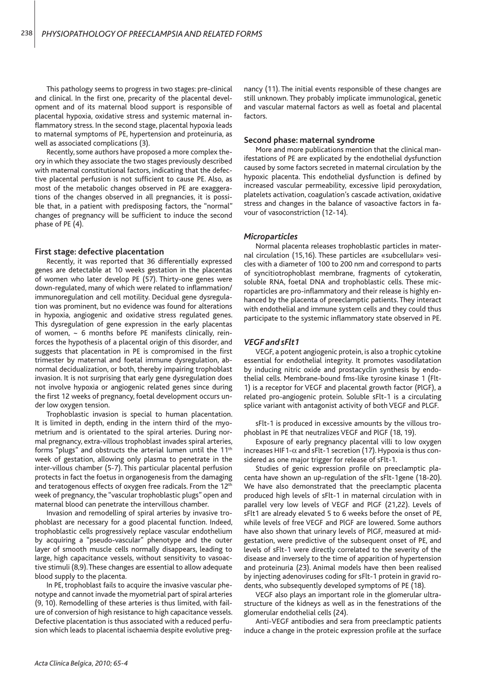This pathology seems to progress in two stages: pre-clinical and clinical. In the first one, precarity of the placental development and of its maternal blood support is responsible of placental hypoxia, oxidative stress and systemic maternal inflammatory stress. In the second stage, placental hypoxia leads to maternal symptoms of PE, hypertension and proteinuria, as well as associated complications (3).

Recently, some authors have proposed a more complex theory in which they associate the two stages previously described with maternal constitutional factors, indicating that the defective placental perfusion is not sufficient to cause PE. Also, as most of the metabolic changes observed in PE are exaggerations of the changes observed in all pregnancies, it is possible that, in a patient with predisposing factors, the "normal" changes of pregnancy will be sufficient to induce the second phase of PE (4).

#### **First stage: defective placentation**

Recently, it was reported that 36 differentially expressed genes are detectable at 10 weeks gestation in the placentas of women who later develop PE (57). Thirty-one genes were down-regulated, many of which were related to inflammation/ immunoregulation and cell motility. Decidual gene dysregulation was prominent, but no evidence was found for alterations in hypoxia, angiogenic and oxidative stress regulated genes. This dysregulation of gene expression in the early placentas of women,  $\sim$  6 months before PE manifests clinically, reinforces the hypothesis of a placental origin of this disorder, and suggests that placentation in PE is compromised in the first trimester by maternal and foetal immune dysregulation, abnormal decidualization, or both, thereby impairing trophoblast invasion. It is not surprising that early gene dysregulation does not involve hypoxia or angiogenic related genes since during the first 12 weeks of pregnancy, foetal development occurs under low oxygen tension.

Trophoblastic invasion is special to human placentation. It is limited in depth, ending in the intern third of the myometrium and is orientated to the spiral arteries. During normal pregnancy, extra-villous trophoblast invades spiral arteries, forms "plugs" and obstructs the arterial lumen until the 11th week of gestation, allowing only plasma to penetrate in the inter-villous chamber (5-7). This particular placental perfusion protects in fact the foetus in organogenesis from the damaging and teratogenous effects of oxygen free radicals. From the 12<sup>th</sup> week of pregnancy, the "vascular trophoblastic plugs" open and maternal blood can penetrate the intervillous chamber.

Invasion and remodelling of spiral arteries by invasive trophoblast are necessary for a good placental function. Indeed, trophoblastic cells progressively replace vascular endothelium by acquiring a "pseudo-vascular" phenotype and the outer layer of smooth muscle cells normally disappears, leading to large, high capacitance vessels, without sensitivity to vasoactive stimuli (8,9). These changes are essential to allow adequate blood supply to the placenta.

In PE, trophoblast fails to acquire the invasive vascular phenotype and cannot invade the myometrial part of spiral arteries (9, 10). Remodelling of these arteries is thus limited, with failure of conversion of high resistance to high capacitance vessels. Defective placentation is thus associated with a reduced perfusion which leads to placental ischaemia despite evolutive pregnancy (11). The initial events responsible of these changes are still unknown. They probably implicate immunological, genetic and vascular maternal factors as well as foetal and placental factors.

#### **Second phase: maternal syndrome**

More and more publications mention that the clinical manifestations of PE are explicated by the endothelial dysfunction caused by some factors secreted in maternal circulation by the hypoxic placenta. This endothelial dysfunction is defined by increased vascular permeability, excessive lipid peroxydation, platelets activation, coagulation's cascade activation, oxidative stress and changes in the balance of vasoactive factors in favour of vasoconstriction (12-14).

#### *Microparticles*

Normal placenta releases trophoblastic particles in maternal circulation (15,16). These particles are «subcellular» vesicles with a diameter of 100 to 200 nm and correspond to parts of syncitiotrophoblast membrane, fragments of cytokeratin, soluble RNA, foetal DNA and trophoblastic cells. These microparticles are pro-inflammatory and their release is highly enhanced by the placenta of preeclamptic patients. They interact with endothelial and immune system cells and they could thus participate to the systemic inflammatory state observed in PE.

#### *VEGF and sFlt1*

VEGF, a potent angiogenic protein, is also a trophic cytokine essential for endothelial integrity. It promotes vasodilatation by inducing nitric oxide and prostacyclin synthesis by endothelial cells. Membrane-bound fms-like tyrosine kinase 1 (Flt-1) is a receptor for VEGF and placental growth factor (PlGF), a related pro-angiogenic protein. Soluble sFlt-1 is a circulating splice variant with antagonist activity of both VEGF and PLGF.

sFlt-1 is produced in excessive amounts by the villous trophoblast in PE that neutralizes VEGF and PlGF (18, 19).

Exposure of early pregnancy placental villi to low oxygen increases HIF1- $\alpha$  and sFlt-1 secretion (17). Hypoxia is thus considered as one major trigger for release of sFlt-1.

Studies of genic expression profile on preeclamptic placenta have shown an up-regulation of the sFlt-1gene (18-20). We have also demonstrated that the preeclamptic placenta produced high levels of sFlt-1 in maternal circulation with in parallel very low levels of VEGF and PlGF (21,22). Levels of sFlt1 are already elevated 5 to 6 weeks before the onset of PE, while levels of free VEGF and PlGF are lowered. Some authors have also shown that urinary levels of PlGF, measured at midgestation, were predictive of the subsequent onset of PE, and levels of sFlt-1 were directly correlated to the severity of the disease and inversely to the time of apparition of hypertension and proteinuria (23). Animal models have then been realised by injecting adenoviruses coding for sFlt-1 protein in gravid rodents, who subsequently developed symptoms of PE (18).

VEGF also plays an important role in the glomerular ultrastructure of the kidneys as well as in the fenestrations of the glomerular endothelial cells (24).

Anti-VEGF antibodies and sera from preeclamptic patients induce a change in the proteic expression profile at the surface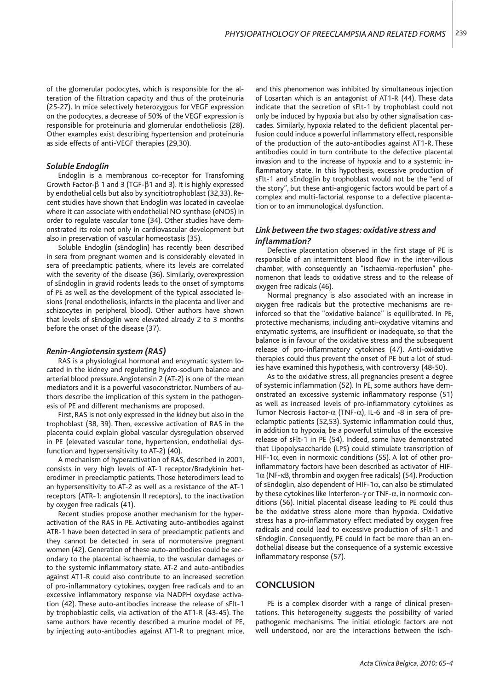of the glomerular podocytes, which is responsible for the alteration of the filtration capacity and thus of the proteinuria (25-27). In mice selectively heterozygous for VEGF expression on the podocytes, a decrease of 50% of the VEGF expression is responsible for proteinuria and glomerular endotheliosis (28). Other examples exist describing hypertension and proteinuria as side effects of anti-VEGF therapies (29,30).

#### *Soluble Endoglin*

Endoglin is a membranous co-receptor for Transfoming Growth Factor-β 1 and 3 (TGF-β1 and 3). It is highly expressed by endothelial cells but also by syncitiotrophoblast (32,33). Recent studies have shown that Endoglin was located in caveolae where it can associate with endothelial NO synthase (eNOS) in order to regulate vascular tone (34). Other studies have demonstrated its role not only in cardiovascular development but also in preservation of vascular homeostasis (35).

Soluble Endoglin (sEndoglin) has recently been described in sera from pregnant women and is considerably elevated in sera of preeclamptic patients, where its levels are correlated with the severity of the disease (36). Similarly, overexpression of sEndoglin in gravid rodents leads to the onset of symptoms of PE as well as the development of the typical associated lesions (renal endotheliosis, infarcts in the placenta and liver and schizocytes in peripheral blood). Other authors have shown that levels of sEndoglin were elevated already 2 to 3 months before the onset of the disease (37).

#### *Renin-Angiotensin system (RAS)*

RAS is a physiological hormonal and enzymatic system located in the kidney and regulating hydro-sodium balance and arterial blood pressure. Angiotensin 2 (AT-2) is one of the mean mediators and it is a powerful vasoconstrictor. Numbers of authors describe the implication of this system in the pathogenesis of PE and different mechanisms are proposed.

First, RAS is not only expressed in the kidney but also in the trophoblast (38, 39). Then, excessive activation of RAS in the placenta could explain global vascular dysregulation observed in PE (elevated vascular tone, hypertension, endothelial dysfunction and hypersensitivity to AT-2) (40).

A mechanism of hyperactivation of RAS, described in 2001, consists in very high levels of AT-1 receptor/Bradykinin heterodimer in preeclamptic patients. Those heterodimers lead to an hypersensitivity to AT-2 as well as a resistance of the AT-1 receptors (ATR-1: angiotensin II receptors), to the inactivation by oxygen free radicals (41).

Recent studies propose another mechanism for the hyperactivation of the RAS in PE. Activating auto-antibodies against ATR-1 have been detected in sera of preeclamptic patients and they cannot be detected in sera of normotensive pregnant women (42). Generation of these auto-antibodies could be secondary to the placental ischaemia, to the vascular damages or to the systemic inflammatory state. AT-2 and auto-antibodies against AT1-R could also contribute to an increased secretion of pro-inflammatory cytokines, oxygen free radicals and to an excessive inflammatory response via NADPH oxydase activation (42). These auto-antibodies increase the release of sFlt-1 by trophoblastic cells, via activation of the AT1-R (43-45). The same authors have recently described a murine model of PE, by injecting auto-antibodies against AT1-R to pregnant mice,

and this phenomenon was inhibited by simultaneous injection of Losartan which is an antagonist of AT1-R (44). These data indicate that the secretion of sFlt-1 by trophoblast could not only be induced by hypoxia but also by other signalisation cascades. Similarly, hypoxia related to the deficient placental perfusion could induce a powerful inflammatory effect, responsible of the production of the auto-antibodies against AT1-R. These antibodies could in turn contribute to the defective placental invasion and to the increase of hypoxia and to a systemic inflammatory state. In this hypothesis, excessive production of sFlt-1 and sEndoglin by trophoblast would not be the "end of the story", but these anti-angiogenic factors would be part of a complex and multi-factorial response to a defective placentation or to an immunological dysfunction.

## *Link between the two stages: oxidative stress and infl ammation?*

Defective placentation observed in the first stage of PE is responsible of an intermittent blood flow in the inter-villous chamber, with consequently an "ischaemia-reperfusion" phenomenon that leads to oxidative stress and to the release of oxygen free radicals (46).

Normal pregnancy is also associated with an increase in oxygen free radicals but the protective mechanisms are reinforced so that the "oxidative balance" is equilibrated. In PE, protective mechanisms, including anti-oxydative vitamins and enzymatic systems, are insufficient or inadequate, so that the balance is in favour of the oxidative stress and the subsequent release of pro-inflammatory cytokines (47). Anti-oxidative therapies could thus prevent the onset of PE but a lot of studies have examined this hypothesis, with controversy (48-50).

As to the oxidative stress, all pregnancies present a degree of systemic inflammation (52). In PE, some authors have demonstrated an excessive systemic inflammatory response (51) as well as increased levels of pro-inflammatory cytokines as Tumor Necrosis Factor- $\alpha$  (TNF- $\alpha$ ), IL-6 and -8 in sera of preeclamptic patients (52,53). Systemic inflammation could thus, in addition to hypoxia, be a powerful stimulus of the excessive release of sFlt-1 in PE (54). Indeed, some have demonstrated that Lipopolysaccharide (LPS) could stimulate transcription of HIF-1α, even in normoxic conditions (55). A lot of other proinflammatory factors have been described as activator of HIF-1α (NF-κB, thrombin and oxygen free radicals) (54). Production of sEndoglin, also dependent of HIF-1 $\alpha$ , can also be stimulated by these cytokines like Interferon-γ or TNF-α, in normoxic conditions (56). Initial placental disease leading to PE could thus be the oxidative stress alone more than hypoxia. Oxidative stress has a pro-inflammatory effect mediated by oxygen free radicals and could lead to excessive production of sFlt-1 and sEndoglin. Consequently, PE could in fact be more than an endothelial disease but the consequence of a systemic excessive inflammatory response (57).

## **CONCLUSION**

PE is a complex disorder with a range of clinical presentations. This heterogeneity suggests the possibility of varied pathogenic mechanisms. The initial etiologic factors are not well understood, nor are the interactions between the isch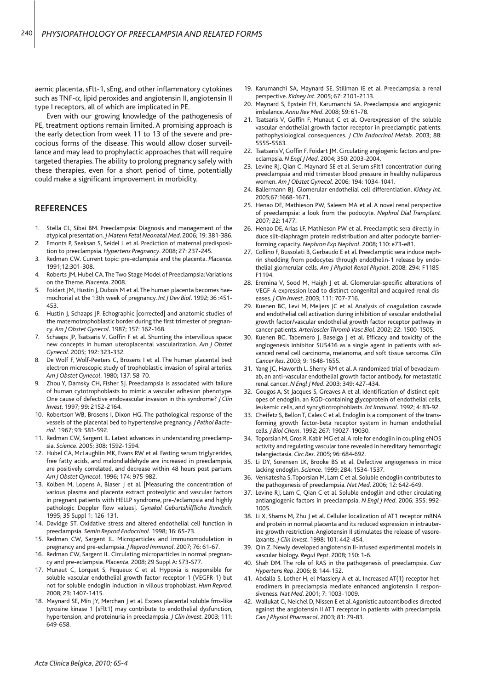aemic placenta, sFlt-1, sEng, and other inflammatory cytokines such as TNF-α, lipid peroxides and angiotensin II, angiotensin II type I receptors, all of which are implicated in PE.

Even with our growing knowledge of the pathogenesis of PE, treatment options remain limited. A promising approach is the early detection from week 11 to 13 of the severe and precocious forms of the disease. This would allow closer surveillance and may lead to prophylactic approaches that will require targeted therapies. The ability to prolong pregnancy safely with these therapies, even for a short period of time, potentially could make a significant improvement in morbidity.

## **REFERENCES**

- 1. Stella CL, Sibai BM. Preeclampsia: Diagnosis and management of the atypical presentation. *J Matern Fetal Neonatal Med*. 2006; 19: 381-386.
- 2. Emonts P, Seaksan S, Seidel L et al. Prediction of maternal predisposition to preeclampsia. *Hypertens Pregnancy*. 2008; 27: 237-245.
- 3. Redman CW. Current topic: pre-eclampsia and the placenta. *Placenta*. 1991;12:301-308.
- 4. Roberts JM, Hubel CA. The Two Stage Model of Preeclampsia: Variations on the Theme. *Placenta*. 2008.
- 5. Foidart JM, Hustin J, Dubois M et al. The human placenta becomes haemochorial at the 13th week of pregnancy. *Int J Dev Biol*. 1992; 36 :451- 453.
- 6. Hustin J, Schaaps JP. Echographic [corrected] and anatomic studies of the maternotrophoblastic border during the first trimester of pregnancy. *Am J Obstet Gynecol*. 1987; 157: 162-168.
- 7. Schaaps JP, Tsatsaris V, Goffin F et al. Shunting the intervillous space: new concepts in human uteroplacental vascularization. *Am J Obstet Gynecol*. 2005; 192: 323-332.
- De Wolf F, Wolf-Peeters C, Brosens I et al. The human placental bed: electron microscopic study of trophoblastic invasion of spiral arteries. *Am J Obstet Gynecol*. 1980; 137: 58-70.
- Zhou Y, Damsky CH, Fisher SJ. Preeclampsia is associated with failure of human cytotrophoblasts to mimic a vascular adhesion phenotype. One cause of defective endovascular invasion in this syndrome? *J Clin Invest*. 1997; 99: 2152-2164.
- 10. Robertson WB, Brosens I, Dixon HG. The pathological response of the vessels of the placental bed to hypertensive pregnancy. *J Pathol Bacteriol*. 1967; 93: 581-592.
- 11. Redman CW, Sargent IL. Latest advances in understanding preeclampsia. *Science*. 2005; 308: 1592-1594.
- 12. Hubel CA, McLaughlin MK, Evans RW et al. Fasting serum triglycerides, free fatty acids, and malondialdehyde are increased in preeclampsia, are positively correlated, and decrease within 48 hours post partum. *Am J Obstet Gynecol*. 1996; 174: 975-982.
- 13. Kolben M, Lopens A, Blaser J et al. [Measuring the concentration of various plasma and placenta extract proteolytic and vascular factors in pregnant patients with HELLP syndrome, pre-/eclampsia and highly pathologic Doppler flow values]. *Gynakol Geburtshilfliche Rundsch*. 1995; 35 Suppl 1: 126-131.
- 14. Davidge ST. Oxidative stress and altered endothelial cell function in preeclampsia. *Semin Reprod Endocrinol*. 1998; 16: 65-73.
- 15. Redman CW, Sargent IL. Microparticles and immunomodulation in pregnancy and pre-eclampsia. *J Reprod Immunol*. 2007; 76: 61-67.
- 16. Redman CW, Sargent IL. Circulating microparticles in normal pregnancy and pre-eclampsia. *Placenta*. 2008; 29 Suppl A: S73-S77.
- 17. Munaut C, Lorquet S, Pequeux C et al. Hypoxia is responsible for soluble vascular endothelial growth factor receptor-1 (VEGFR-1) but not for soluble endoglin induction in villous trophoblast. *Hum Reprod*. 2008; 23: 1407-1415.
- 18. Maynard SE, Min JY, Merchan J et al. Excess placental soluble fms-like tyrosine kinase 1 (sFlt1) may contribute to endothelial dysfunction, hypertension, and proteinuria in preeclampsia. *J Clin Invest*. 2003; 111: 649-658.
- 19. Karumanchi SA, Maynard SE, Stillman IE et al. Preeclampsia: a renal perspective. *Kidney Int*. 2005; 67: 2101-2113.
- 20. Maynard S, Epstein FH, Karumanchi SA. Preeclampsia and angiogenic imbalance. *Annu Rev Med*. 2008; 59: 61-78.
- 21. Tsatsaris V, Goffin F, Munaut C et al. Overexpression of the soluble vascular endothelial growth factor receptor in preeclamptic patients: pathophysiological consequences. *J Clin Endocrinol Metab*. 2003; 88: 5555-5563.
- 22. Tsatsaris V, Goffin F, Foidart JM. Circulating angiogenic factors and preeclampsia. *N Engl J Med*. 2004; 350: 2003-2004.
- 23. Levine RJ, Qian C, Maynard SE et al. Serum sFlt1 concentration during preeclampsia and mid trimester blood pressure in healthy nulliparous women. *Am J Obstet Gynecol*. 2006; 194: 1034-1041.
- 24. Ballermann BJ. Glomerular endothelial cell differentiation. *Kidney Int*. 2005;67:1668-1671.
- 25. Henao DE, Mathieson PW, Saleem MA et al. A novel renal perspective of preeclampsia: a look from the podocyte. *Nephrol Dial Transplant*. 2007; 22: 1477.
- 26. Henao DE, Arias LF, Mathieson PW et al. Preeclamptic sera directly induce slit-diaphragm protein redistribution and alter podocyte barrierforming capacity. *Nephron Exp Nephrol*. 2008; 110: e73-e81.
- 27. Collino F, Bussolati B, Gerbaudo E et al. Preeclamptic sera induce nephrin shedding from podocytes through endothelin-1 release by endothelial glomerular cells. *Am J Physiol Renal Physiol*. 2008; 294: F1185- F1194.
- 28. Eremina V, Sood M, Haigh J et al. Glomerular-specific alterations of VEGF-A expression lead to distinct congenital and acquired renal diseases. *J Clin Invest*. 2003; 111: 707-716.
- 29. Kuenen BC, Levi M, Meijers JC et al. Analysis of coagulation cascade and endothelial cell activation during inhibition of vascular endothelial growth factor/vascular endothelial growth factor receptor pathway in cancer patients. *Arterioscler Thromb Vasc Biol*. 2002; 22: 1500-1505.
- 30. Kuenen BC, Tabernero J, Baselga J et al. Efficacy and toxicity of the angiogenesis inhibitor SU5416 as a single agent in patients with advanced renal cell carcinoma, melanoma, and soft tissue sarcoma. *Clin Cancer Res*. 2003; 9: 1648-1655.
- 31. Yang JC, Haworth L, Sherry RM et al. A randomized trial of bevacizumab, an anti-vascular endothelial growth factor antibody, for metastatic renal cancer. *N Engl J Med*. 2003; 349: 427-434.
- 32. Gougos A, St Jacques S, Greaves A et al. Identification of distinct epitopes of endoglin, an RGD-containing glycoprotein of endothelial cells, leukemic cells, and syncytiotrophoblasts. *Int Immunol*. 1992; 4: 83-92.
- 33. Cheifetz S, Bellon T, Cales C et al. Endoglin is a component of the transforming growth factor-beta receptor system in human endothelial cells. *J Biol Chem*. 1992; 267: 19027-19030.
- 34. Toporsian M, Gros R, Kabir MG et al. A role for endoglin in coupling eNOS activity and regulating vascular tone revealed in hereditary hemorrhagic telangiectasia. *Circ Res*. 2005; 96: 684-692.
- 35. Li DY, Sorensen LK, Brooke BS et al. Defective angiogenesis in mice lacking endoglin. *Science*. 1999; 284: 1534-1537.
- 36. Venkatesha S, Toporsian M, Lam C et al. Soluble endoglin contributes to the pathogenesis of preeclampsia. *Nat Med*. 2006; 12: 642-649.
- 37. Levine RJ, Lam C, Qian C et al. Soluble endoglin and other circulating antiangiogenic factors in preeclampsia. *N Engl J Med*. 2006; 355: 992- 1005.
- 38. Li X, Shams M, Zhu J et al. Cellular localization of AT1 receptor mRNA and protein in normal placenta and its reduced expression in intrauterine growth restriction. Angiotensin II stimulates the release of vasorelaxants. *J Clin Invest*. 1998; 101: 442-454.
- 39. Qin Z. Newly developed angiotensin II-infused experimental models in vascular biology. *Regul Pept*. 2008; 150: 1-6.
- 40. Shah DM. The role of RAS in the pathogenesis of preeclampsia. *Curr Hypertens Rep*. 2006; 8: 144-152.
- 41. Abdalla S, Lother H, el Massiery A et al. Increased AT(1) receptor heterodimers in preeclampsia mediate enhanced angiotensin II responsiveness. *Nat Med*. 2001; 7: 1003-1009.
- 42. Wallukat G, Neichel D, Nissen E et al. Agonistic autoantibodies directed against the angiotensin II AT1 receptor in patients with preeclampsia. *Can J Physiol Pharmacol*. 2003; 81: 79-83.